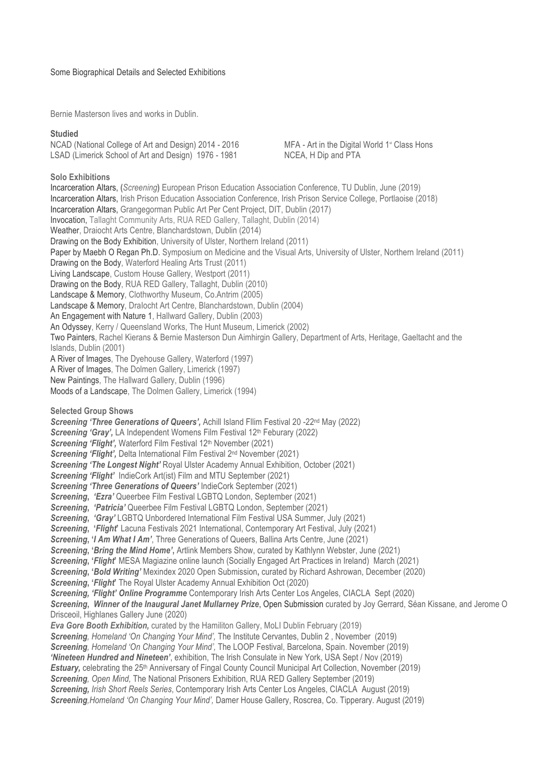Bernie Masterson lives and works in Dublin.

### **Studied**

NCAD (National College of Art and Design) 2014 - 2016 MFA - Art in the Digital World 1<sup>st</sup> Class Hons LSAD (Limerick School of Art and Design) 1976 - 1981 NCEA, H Dip and PTA

# **Solo Exhibitions**

Incarceration Altars, **(***Screening***)** European Prison Education Association Conference, TU Dublin, June (2019) Incarceration Altars, Irish Prison Education Association Conference, Irish Prison Service College, Portlaoise (2018) Incarceration Altars, Grangegorman Public Art Per Cent Project, DIT, Dublin (2017) Invocation, Tallaght Community Arts, RUA RED Gallery, Tallaght, Dublin (2014) Weather, Draiocht Arts Centre, Blanchardstown, Dublin (2014) Drawing on the Body Exhibition, University of Ulster, Northern Ireland (2011) Paper by Maebh O Regan Ph.D. Symposium on Medicine and the Visual Arts, University of Ulster, Northern Ireland (2011) Drawing on the Body, Waterford Healing Arts Trust (2011) Living Landscape, Custom House Gallery, Westport (2011) Drawing on the Body, RUA RED Gallery, Tallaght, Dublin (2010) Landscape & Memory, Clothworthy Museum, Co.Antrim (2005) Landscape & Memory, DraIocht Art Centre, Blanchardstown, Dublin (2004) An Engagement with Nature 1, Hallward Gallery, Dublin (2003) An Odyssey, Kerry / Queensland Works, The Hunt Museum, Limerick (2002) Two Painters, Rachel Kierans & Bernie Masterson Dun Aimhirgin Gallery, Department of Arts, Heritage, Gaeltacht and the Islands, Dublin (2001) A River of Images, The Dyehouse Gallery, Waterford (1997) A River of Images, The Dolmen Gallery, Limerick (1997) New Paintings, The Hallward Gallery, Dublin (1996) Moods of a Landscape, The Dolmen Gallery, Limerick (1994) **Selected Group Shows Screening 'Three Generations of Queers', Achill Island Fllim Festival 20 -22<sup>nd</sup> May (2022) Screening 'Gray', LA Independent Womens Film Festival 12th Feburary (2022) Screening 'Flight', Waterford Film Festival 12<sup>th</sup> November (2021)** *Screening 'Flight',* Delta International Film Festival 2nd November (2021) *Screening 'The Longest Night'* Royal Ulster Academy Annual Exhibition, October (2021) *Screening 'Flight'* IndieCork Art(ist) Film and MTU September (2021) *Screening 'Three Generations of Queers'* IndieCork September (2021) *Screening***,** *'Ezra'* Queerbee Film Festival LGBTQ London, September (2021) **Screening, 'Patricia' Queerbee Film Festival LGBTQ London, September (2021)** *Screening***,** *'Gray'* LGBTQ Unbordered International Film Festival USA Summer, July (2021) *Screening***, '***Flight***'** Lacuna Festivals 2021 International, Contemporary Art Festival, July (2021) *Screening***, '***I Am What I Am'*, Three Generations of Queers, Ballina Arts Centre, June (2021) *Screening***, '***Bring the Mind Home'***,** Artlink Members Show, curated by Kathlynn Webster, June (2021) *Screening***, '***Flight***'** MESA Magiazine online launch (Socially Engaged Art Practices in Ireland) March (2021) *Screening***, '***Bold Writing'* Mexindex 2020 Open Submission**,** curated by Richard Ashrowan, December (2020) **Screening, 'Flight'** The Royal Ulster Academy Annual Exhibition Oct (2020) *Screening, 'Flight' Online Programme* Contemporary Irish Arts Center Los Angeles, CIACLA Sept (2020) *Screening***,** *Winner of the Inaugural Janet Mullarney Prize*, Open Submission curated by Joy Gerrard, Séan Kissane, and Jerome O Drisceoil, Highlanes Gallery June (2020) *Eva Gore Booth Exhibition,* curated by the Hamiliton Gallery, MoLI Dublin February (2019) *Screening, Homeland 'On Changing Your Mind',* The Institute Cervantes, Dublin 2 , November (2019) *Screening, Homeland 'On Changing Your Mind',* The LOOP Festival, Barcelona, Spain. November (2019) *'Nineteen Hundred and Nineteen'*, exhibition, The Irish Consulate in New York, USA Sept / Nov (2019) **Estuary, celebrating the 25<sup>th</sup> Anniversary of Fingal County Council Municipal Art Collection, November (2019)** *Screening, Open Mind,* The National Prisoners Exhibition, RUA RED Gallery September (2019) *Screening, Irish Short Reels Series*, Contemporary Irish Arts Center Los Angeles, CIACLA August (2019) *Screening,Homeland 'On Changing Your Mind',* Damer House Gallery, Roscrea, Co. Tipperary. August (2019)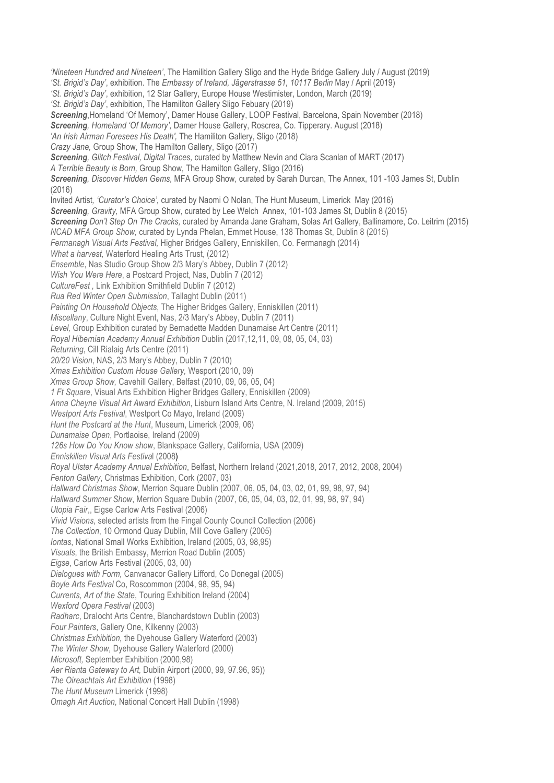*'Nineteen Hundred and Nineteen'*, The Hamilition Gallery Sligo and the Hyde Bridge Gallery July / August (2019) *'St. Brigid's Day'*, exhibition. The *Embassy of Ireland, Jägerstrasse 51, 10117 Berlin* May / April (2019) *'St. Brigid's Day'*, exhibition, 12 Star Gallery, Europe House Westimister, London, March (2019) *'St. Brigid's Day'*, exhibition, The Hamiliton Gallery Sligo Febuary (2019) *Screening*,Homeland 'Of Memory', Damer House Gallery, LOOP Festival, Barcelona, Spain November (2018) *Screening, Homeland 'Of Memory',* Damer House Gallery, Roscrea, Co. Tipperary. August (2018) *'An Irish Airman Foresees His Death',* The Hamiliton Gallery, Sligo (2018) *Crazy Jane,* Group Show*,* The HamiIton Gallery, Sligo (2017) *Screening, Glitch Festival, Digital Traces,* curated by Matthew Nevin and Ciara Scanlan of MART (2017) *A Terrible Beauty is Born,* Group Show*,* The HamiIton Gallery, Sligo (2016) *Screening, Discover Hidden Gems,* MFA Group Show*,* curated by Sarah Durcan, The Annex, 101 -103 James St, Dublin (2016) Invited Artist*, 'Curator's Choice',* curated by Naomi O Nolan, The Hunt Museum, Limerick May (2016) *Screening, Gravity,* MFA Group Show, curated by Lee Welch Annex, 101-103 James St, Dublin 8 (2015) *Screening Don't Step On The Cracks,* curated by Amanda Jane Graham, Solas Art Gallery, Ballinamore, Co. Leitrim (2015) *NCAD MFA Group Show,* curated by Lynda Phelan, Emmet House, 138 Thomas St, Dublin 8 (2015) *Fermanagh Visual Arts Festival,* Higher Bridges Gallery, Enniskillen, Co. Fermanagh (2014) *What a harvest,* Waterford Healing Arts Trust, (2012) *Ensemble*, Nas Studio Group Show 2/3 Mary's Abbey, Dublin 7 (2012) *Wish You Were Here*, a Postcard Project, Nas, Dublin 7 (2012) *CultureFest ,* Link Exhibition Smithfield Dublin 7 (2012) *Rua Red Winter Open Submission*, Tallaght Dublin (2011) *Painting On Household Objects*, The Higher Bridges Gallery, Enniskillen (2011) *Miscellany*, Culture Night Event, Nas, 2/3 Mary's Abbey, Dublin 7 (2011) *Level,* Group Exhibition curated by Bernadette Madden Dunamaise Art Centre (2011) *Royal Hibernian Academy Annual Exhibition* Dublin (2017,12,11, 09, 08, 05, 04, 03) *Returning*, Cill Rialaig Arts Centre (2011) *20/20 Vision*, NAS, 2/3 Mary's Abbey, Dublin 7 (2010) *Xmas Exhibition Custom House Gallery,* Wesport (2010, 09) *Xmas Group Show,* Cavehill Gallery, Belfast (2010, 09, 06, 05, 04) *1 Ft Square*, Visual Arts Exhibition Higher Bridges Gallery, Enniskillen (2009) *Anna Cheyne Visual Art Award Exhibition*, Lisburn Island Arts Centre, N. Ireland (2009, 2015) *Westport Arts Festival*, Westport Co Mayo, Ireland (2009) *Hunt the Postcard at the Hunt*, Museum, Limerick (2009, 06) *Dunamaise Open*, Portlaoise, Ireland (2009) *126s How Do You Know show*, Blankspace Gallery, California, USA (2009) *Enniskillen Visual Arts Festiva*l (2008) *Royal Ulster Academy Annual Exhibition*, Belfast, Northern Ireland (2021,2018, 2017, 2012, 2008, 2004) *Fenton Gallery*, Christmas Exhibition, Cork (2007, 03) *Hallward Christmas Show*, Merrion Square Dublin (2007, 06, 05, 04, 03, 02, 01, 99, 98, 97, 94) *Hallward Summer Show*, Merrion Square Dublin (2007, 06, 05, 04, 03, 02, 01, 99, 98, 97, 94) *Utopia Fair*,, Eigse Carlow Arts Festival (2006) *Vivid Visions*, selected artists from the Fingal County Council Collection (2006) *The Collection*, 10 Ormond Quay Dublin, Mill Cove Gallery (2005) *Iontas*, National Small Works Exhibition, Ireland (2005, 03, 98,95) *Visuals*, the British Embassy, Merrion Road Dublin (2005) *Eigse*, Carlow Arts Festival (2005, 03, 00) *Dialogues with Form,* Canvanacor Gallery Lifford, Co Donegal (2005) *Boyle Arts Festival* Co, Roscommon (2004, 98, 95, 94) *Currents, Art of the State*, Touring Exhibition Ireland (2004) *Wexford Opera Festival* (2003) *Radharc*, DraIocht Arts Centre, Blanchardstown Dublin (2003) *Four Painters*, Gallery One, Kilkenny (2003) *Christmas Exhibition,* the Dyehouse Gallery Waterford (2003) *The Winter Show,* Dyehouse Gallery Waterford (2000) *Microsoft,* September Exhibition (2000,98) *Aer Rianta Gateway to Art,* Dublin Airport (2000, 99, 97.96, 95)) *The Oireachtais Art Exhibition* (1998) *The Hunt Museum* Limerick (1998) *Omagh Art Auction,* National Concert Hall Dublin (1998)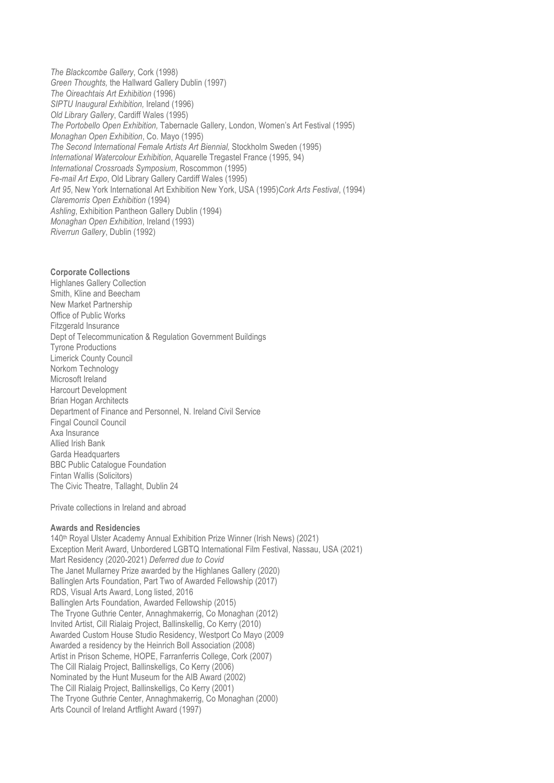*The Blackcombe Gallery*, Cork (1998) *Green Thoughts,* the Hallward Gallery Dublin (1997) *The Oireachtais Art Exhibition* (1996) *SIPTU Inaugural Exhibition,* Ireland (1996) *Old Library Gallery*, Cardiff Wales (1995) *The Portobello Open Exhibition,* Tabernacle Gallery, London, Women's Art Festival (1995) *Monaghan Open Exhibition*, Co. Mayo (1995) *The Second International Female Artists Art Biennial,* Stockholm Sweden (1995) *International Watercolour Exhibition*, Aquarelle Tregastel France (1995, 94) *International Crossroads Symposium*, Roscommon (1995) *Fe-mail Art Expo*, Old Library Gallery Cardiff Wales (1995) *Art 95*, New York International Art Exhibition New York, USA (1995)*Cork Arts Festival*, (1994) *Claremorris Open Exhibition* (1994) *Ashling*, Exhibition Pantheon Gallery Dublin (1994) *Monaghan Open Exhibition*, Ireland (1993) *Riverrun Gallery*, Dublin (1992)

# **Corporate Collections**

Highlanes Gallery Collection Smith, Kline and Beecham New Market Partnership Office of Public Works Fitzgerald Insurance Dept of Telecommunication & Regulation Government Buildings Tyrone Productions Limerick County Council Norkom Technology Microsoft Ireland Harcourt Development Brian Hogan Architects Department of Finance and Personnel, N. Ireland Civil Service Fingal Council Council Axa Insurance Allied Irish Bank Garda Headquarters BBC Public Catalogue Foundation Fintan Wallis (Solicitors) The Civic Theatre, Tallaght, Dublin 24

Private collections in Ireland and abroad

### **Awards and Residencies**

140th Royal Ulster Academy Annual Exhibition Prize Winner (Irish News) (2021) Exception Merit Award, Unbordered LGBTQ International Film Festival, Nassau, USA (2021) Mart Residency (2020-2021) *Deferred due to Covid* The Janet Mullarney Prize awarded by the Highlanes Gallery (2020) Ballinglen Arts Foundation, Part Two of Awarded Fellowship (2017) RDS, Visual Arts Award, Long listed, 2016 Ballinglen Arts Foundation, Awarded Fellowship (2015) The Tryone Guthrie Center, Annaghmakerrig, Co Monaghan (2012) Invited Artist, Cill Rialaig Project, Ballinskellig, Co Kerry (2010) Awarded Custom House Studio Residency, Westport Co Mayo (2009 Awarded a residency by the Heinrich Boll Association (2008) Artist in Prison Scheme, HOPE, Farranferris College, Cork (2007) The Cill Rialaig Project, Ballinskelligs, Co Kerry (2006) Nominated by the Hunt Museum for the AIB Award (2002) The Cill Rialaig Project, Ballinskelligs, Co Kerry (2001) The Tryone Guthrie Center, Annaghmakerrig, Co Monaghan (2000) Arts Council of Ireland Artflight Award (1997)